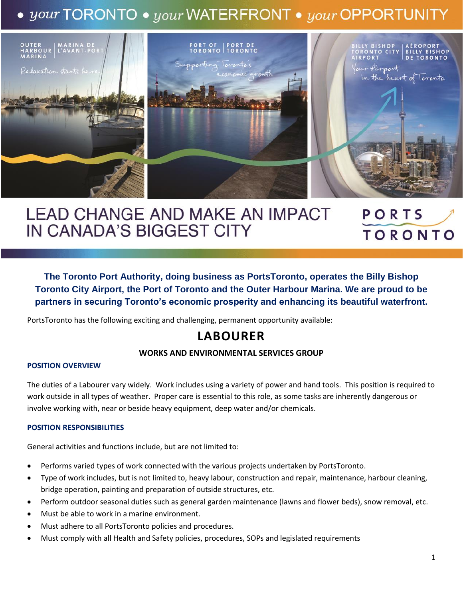## $\bullet$  your TORONTO  $\bullet$  your WATERFRONT  $\bullet$  your OPPORTUNITY



# **LEAD CHANGE AND MAKE AN IMPACT** IN CANADA'S BIGGEST CITY

# PORTS **TORONTO**

**The Toronto Port Authority, doing business as PortsToronto, operates the Billy Bishop Toronto City Airport, the Port of Toronto and the Outer Harbour Marina. We are proud to be partners in securing Toronto's economic prosperity and enhancing its beautiful waterfront.**

PortsToronto has the following exciting and challenging, permanent opportunity available:

### **LABOURER**

#### **WORKS AND ENVIRONMENTAL SERVICES GROUP**

#### **POSITION OVERVIEW**

The duties of a Labourer vary widely. Work includes using a variety of power and hand tools. This position is required to work outside in all types of weather. Proper care is essential to this role, as some tasks are inherently dangerous or involve working with, near or beside heavy equipment, deep water and/or chemicals.

#### **POSITION RESPONSIBILITIES**

General activities and functions include, but are not limited to:

- Performs varied types of work connected with the various projects undertaken by PortsToronto.
- Type of work includes, but is not limited to, heavy labour, construction and repair, maintenance, harbour cleaning, bridge operation, painting and preparation of outside structures, etc.
- Perform outdoor seasonal duties such as general garden maintenance (lawns and flower beds), snow removal, etc.
- Must be able to work in a marine environment.
- Must adhere to all PortsToronto policies and procedures.
- Must comply with all Health and Safety policies, procedures, SOPs and legislated requirements